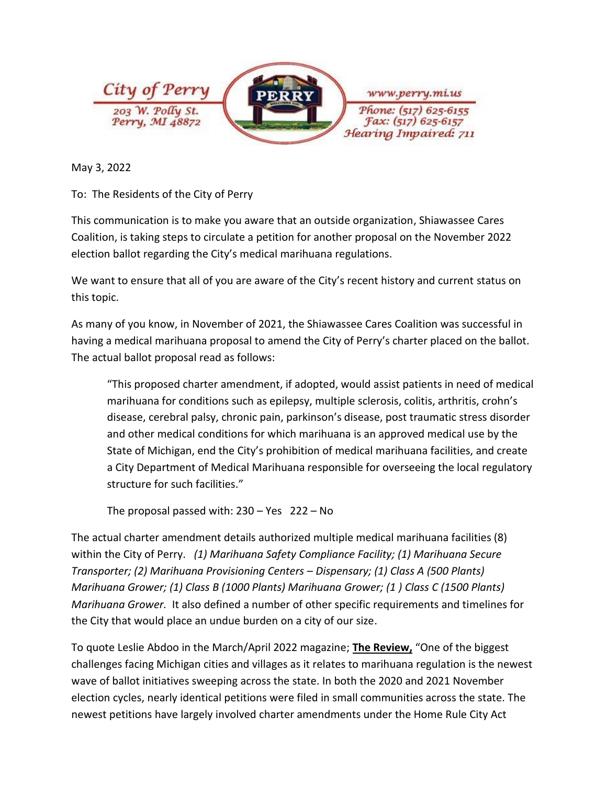

May 3, 2022

To: The Residents of the City of Perry

This communication is to make you aware that an outside organization, Shiawassee Cares Coalition, is taking steps to circulate a petition for another proposal on the November 2022 election ballot regarding the City's medical marihuana regulations.

We want to ensure that all of you are aware of the City's recent history and current status on this topic.

As many of you know, in November of 2021, the Shiawassee Cares Coalition was successful in having a medical marihuana proposal to amend the City of Perry's charter placed on the ballot. The actual ballot proposal read as follows:

"This proposed charter amendment, if adopted, would assist patients in need of medical marihuana for conditions such as epilepsy, multiple sclerosis, colitis, arthritis, crohn's disease, cerebral palsy, chronic pain, parkinson's disease, post traumatic stress disorder and other medical conditions for which marihuana is an approved medical use by the State of Michigan, end the City's prohibition of medical marihuana facilities, and create a City Department of Medical Marihuana responsible for overseeing the local regulatory structure for such facilities."

The proposal passed with: 230 – Yes 222 – No

The actual charter amendment details authorized multiple medical marihuana facilities (8) within the City of Perry. *(1) Marihuana Safety Compliance Facility; (1) Marihuana Secure Transporter; (2) Marihuana Provisioning Centers – Dispensary; (1) Class A (500 Plants) Marihuana Grower; (1) Class B (1000 Plants) Marihuana Grower; (1 ) Class C (1500 Plants) Marihuana Grower.* It also defined a number of other specific requirements and timelines for the City that would place an undue burden on a city of our size.

To quote Leslie Abdoo in the March/April 2022 magazine; **The Review,** "One of the biggest challenges facing Michigan cities and villages as it relates to marihuana regulation is the newest wave of ballot initiatives sweeping across the state. In both the 2020 and 2021 November election cycles, nearly identical petitions were filed in small communities across the state. The newest petitions have largely involved charter amendments under the Home Rule City Act